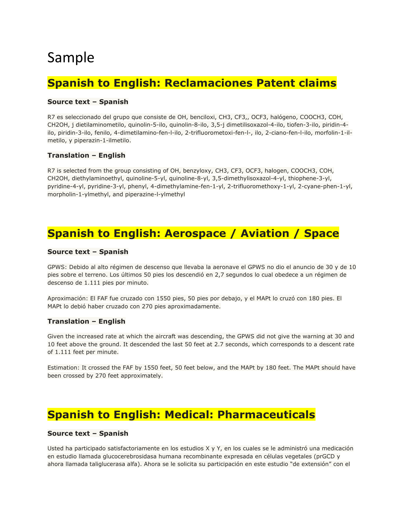# Sample

# **Spanish to English: Reclamaciones Patent claims**

### **Source text – Spanish**

R7 es seleccionado del grupo que consiste de OH, benciloxi, CH3, CF3,, OCF3, halógeno, COOCH3, COH, CH2OH, j dietilaminometilo, quinolin-5-ilo, quinolin-8-ilo, 3,5-j dimetilisoxazol-4-ilo, tiofen-3-ilo, piridin-4 ilo, piridin-3-ilo, fenilo, 4-dimetilamino-fen-l-ilo, 2-trifluorometoxi-fen-l-, ilo, 2-ciano-fen-l-ilo, morfolin-1-ilmetilo, y piperazin-1-ilmetilo.

#### **Translation – English**

R7 is selected from the group consisting of OH, benzyloxy, CH3, CF3, OCF3, halogen, COOCH3, COH, CH2OH, diethylaminoethyl, quinoline-5-yl, quinoline-8-yl, 3,5-dimethylisoxazol-4-yl, thiophene-3-yl, pyridine-4-yl, pyridine-3-yl, phenyl, 4-dimethylamine-fen-1-yl, 2-trifluoromethoxy-1-yl, 2-cyane-phen-1-yl, morpholin-1-ylmethyl, and piperazine-l-ylmethyl

## **Spanish to English: Aerospace / Aviation / Space**

#### **Source text – Spanish**

GPWS: Debido al alto régimen de descenso que llevaba la aeronave el GPWS no dio el anuncio de 30 y de 10 pies sobre el terreno. Los últimos 50 pies los descendió en 2,7 segundos lo cual obedece a un régimen de descenso de 1.111 pies por minuto.

Aproximación: El FAF fue cruzado con 1550 pies, 50 pies por debajo, y el MAPt lo cruzó con 180 pies. El MAPt lo debió haber cruzado con 270 pies aproximadamente.

#### **Translation – English**

Given the increased rate at which the aircraft was descending, the GPWS did not give the warning at 30 and 10 feet above the ground. It descended the last 50 feet at 2.7 seconds, which corresponds to a descent rate of 1.111 feet per minute.

Estimation: It crossed the FAF by 1550 feet, 50 feet below, and the MAPt by 180 feet. The MAPt should have been crossed by 270 feet approximately.

## **Spanish to English: Medical: Pharmaceuticals**

#### **Source text – Spanish**

Usted ha participado satisfactoriamente en los estudios X y Y, en los cuales se le administró una medicación en estudio llamada glucocerebrosidasa humana recombinante expresada en células vegetales (prGCD y ahora llamada taliglucerasa alfa). Ahora se le solicita su participación en este estudio "de extensión" con el